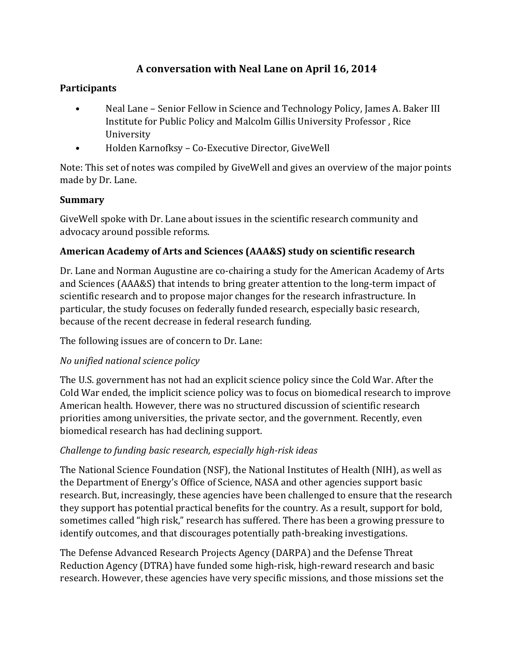# **A conversation with Neal Lane on April 16, 2014**

# **Participants**

- Neal Lane Senior Fellow in Science and Technology Policy, James A. Baker III Institute for Public Policy and Malcolm Gillis University Professor , Rice University
- Holden Karnofksy Co-Executive Director, GiveWell

Note: This set of notes was compiled by GiveWell and gives an overview of the major points made by Dr. Lane.

#### **Summary**

GiveWell spoke with Dr. Lane about issues in the scientific research community and advocacy around possible reforms.

# **American Academy of Arts and Sciences (AAA&S) study on scientific research**

Dr. Lane and Norman Augustine are co-chairing a study for the American Academy of Arts and Sciences (AAA&S) that intends to bring greater attention to the long-term impact of scientific research and to propose major changes for the research infrastructure. In particular, the study focuses on federally funded research, especially basic research, because of the recent decrease in federal research funding.

The following issues are of concern to Dr. Lane:

# *No unified national science policy*

The U.S. government has not had an explicit science policy since the Cold War. After the Cold War ended, the implicit science policy was to focus on biomedical research to improve American health. However, there was no structured discussion of scientific research priorities among universities, the private sector, and the government. Recently, even biomedical research has had declining support.

# *Challenge to funding basic research, especially high-risk ideas*

The National Science Foundation (NSF), the National Institutes of Health (NIH), as well as the Department of Energy's Office of Science, NASA and other agencies support basic research. But, increasingly, these agencies have been challenged to ensure that the research they support has potential practical benefits for the country. As a result, support for bold, sometimes called "high risk," research has suffered. There has been a growing pressure to identify outcomes, and that discourages potentially path-breaking investigations.

The Defense Advanced Research Projects Agency (DARPA) and the Defense Threat Reduction Agency (DTRA) have funded some high-risk, high-reward research and basic research. However, these agencies have very specific missions, and those missions set the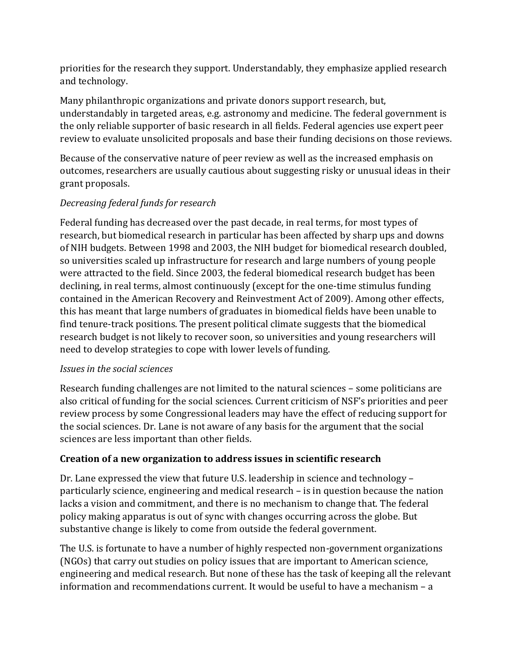priorities for the research they support. Understandably, they emphasize applied research and technology.

Many philanthropic organizations and private donors support research, but, understandably in targeted areas, e.g. astronomy and medicine. The federal government is the only reliable supporter of basic research in all fields. Federal agencies use expert peer review to evaluate unsolicited proposals and base their funding decisions on those reviews.

Because of the conservative nature of peer review as well as the increased emphasis on outcomes, researchers are usually cautious about suggesting risky or unusual ideas in their grant proposals.

#### *Decreasing federal funds for research*

Federal funding has decreased over the past decade, in real terms, for most types of research, but biomedical research in particular has been affected by sharp ups and downs of NIH budgets. Between 1998 and 2003, the NIH budget for biomedical research doubled, so universities scaled up infrastructure for research and large numbers of young people were attracted to the field. Since 2003, the federal biomedical research budget has been declining, in real terms, almost continuously (except for the one-time stimulus funding contained in the American Recovery and Reinvestment Act of 2009). Among other effects, this has meant that large numbers of graduates in biomedical fields have been unable to find tenure-track positions. The present political climate suggests that the biomedical research budget is not likely to recover soon, so universities and young researchers will need to develop strategies to cope with lower levels of funding.

#### *Issues in the social sciences*

Research funding challenges are not limited to the natural sciences – some politicians are also critical of funding for the social sciences. Current criticism of NSF's priorities and peer review process by some Congressional leaders may have the effect of reducing support for the social sciences. Dr. Lane is not aware of any basis for the argument that the social sciences are less important than other fields.

#### **Creation of a new organization to address issues in scientific research**

Dr. Lane expressed the view that future U.S. leadership in science and technology – particularly science, engineering and medical research – is in question because the nation lacks a vision and commitment, and there is no mechanism to change that. The federal policy making apparatus is out of sync with changes occurring across the globe. But substantive change is likely to come from outside the federal government.

The U.S. is fortunate to have a number of highly respected non-government organizations (NGOs) that carry out studies on policy issues that are important to American science, engineering and medical research. But none of these has the task of keeping all the relevant information and recommendations current. It would be useful to have a mechanism – a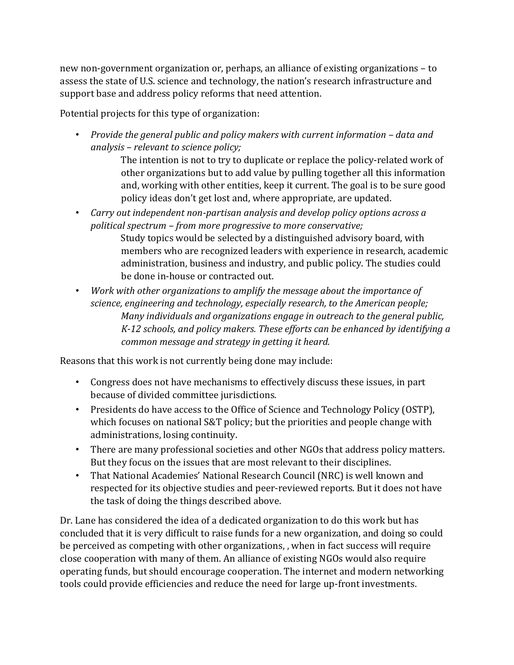new non-government organization or, perhaps, an alliance of existing organizations – to assess the state of U.S. science and technology, the nation's research infrastructure and support base and address policy reforms that need attention.

Potential projects for this type of organization:

• *Provide the general public and policy makers with current information – data and analysis – relevant to science policy;* 

> The intention is not to try to duplicate or replace the policy-related work of other organizations but to add value by pulling together all this information and, working with other entities, keep it current. The goal is to be sure good policy ideas don't get lost and, where appropriate, are updated.

- *Carry out independent non-partisan analysis and develop policy options across a political spectrum – from more progressive to more conservative;*  Study topics would be selected by a distinguished advisory board, with members who are recognized leaders with experience in research, academic administration, business and industry, and public policy. The studies could be done in-house or contracted out.
- *Work with other organizations to amplify the message about the importance of science, engineering and technology, especially research, to the American people; Many individuals and organizations engage in outreach to the general public, K-12 schools, and policy makers. These efforts can be enhanced by identifying a common message and strategy in getting it heard.*

Reasons that this work is not currently being done may include:

- Congress does not have mechanisms to effectively discuss these issues, in part because of divided committee jurisdictions.
- Presidents do have access to the Office of Science and Technology Policy (OSTP), which focuses on national S&T policy; but the priorities and people change with administrations, losing continuity.
- There are many professional societies and other NGOs that address policy matters. But they focus on the issues that are most relevant to their disciplines.
- That National Academies' National Research Council (NRC) is well known and respected for its objective studies and peer-reviewed reports. But it does not have the task of doing the things described above.

Dr. Lane has considered the idea of a dedicated organization to do this work but has concluded that it is very difficult to raise funds for a new organization, and doing so could be perceived as competing with other organizations, , when in fact success will require close cooperation with many of them. An alliance of existing NGOs would also require operating funds, but should encourage cooperation. The internet and modern networking tools could provide efficiencies and reduce the need for large up-front investments.